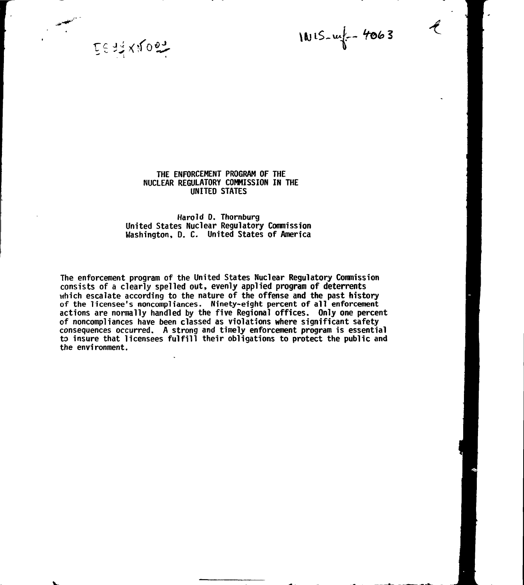1015-14 - 4063

EE TI XYOOT

## **THE ENFORCEMENT PROGRAM OF THE NUCLEAR REGULATORY COMMISSION IN THE UNITED STATES**

## **Harold D. Thornburg United States Nuclear Regulatory Commission Washington, D. C- United States of America**

**The enforcement program of the United States Nuclear Regulatory Commission consists of a clearly spelled out, evenly applied program of deterrents which escalate according to the nature of the offense and the past history of the licensee's noncompliances. Ninety-eight percent of all enforcement actions are normally handled by the five Regional offices. Only one percent of noncompliances have been classed as violations where significant safety consequences occurred. A strong and timely enforcement program is essential to insure that licensees fulfill their obligations to protect the public and the environment.**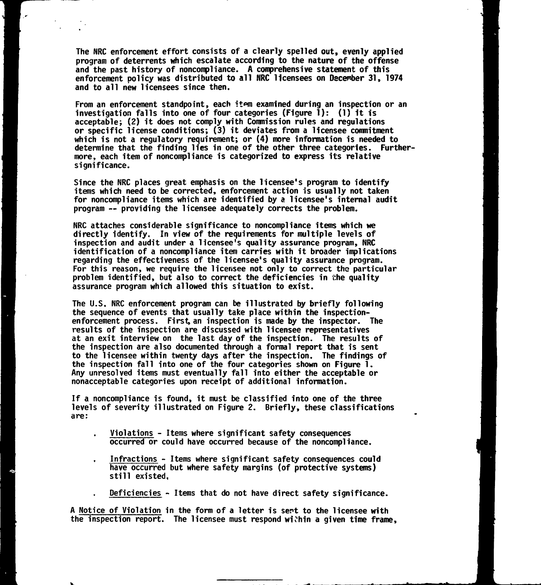**The NRC enforcement effort consists of a clearly spelled out, evenly applied program of deterrents which escalate according to the nature of the offense and the past history of noncompliance. A comprehensive statement of this enforcement policy was distributed to all NRC licensees on December 31, 1974 and to all new licensees since then.**

**From an enforcement standpoint, each itm examined during an inspection or an investigation falls into one of four categories (Figure 1) : (1} it is acceptable-, (2) it does not comply with Commission rules and regulations or specific license conditions; (3) it deviates from a licensee commitment which is not a regulatory requirement; or (4) more information is needed to determine that the finding lies in one of the other three categories. Furthermore, each item of noncompliance is categorized to express its relative significance.**

**Since the NRC places great emphasis on the licensee's program to identify items which need to be corrected, enforcement action is usually not taken for noncompliance items which are identified by a licensee's internal audit program — providing the licensee adequately corrects the problem.**

**NRC attaches considerable significance to noncompliance items which we directly identify. In view of the requirements for multiple levels of inspection and audit under a licensee's quality assurance program, NRC identification of a noncompliance item carries with it broader implications regarding the effectiveness of the licensee's quality assurance program. For this reason, we require the licensee not only to correct the particular problem identified, but also to correct the deficiencies in the quality assurance program which allowed this situation to exist.**

**The U.S. NRC enforcement program can be illustrated by briefly following the sequence of events that usually take place within the inspectionenforcement process. First, an inspection is made by the inspector. The results of the inspection are discussed with licensee representatives at an exit interview on the last day of the inspection. The results of the inspection are also documented through a formal report that is sent to the licensee within twenty days after the inspection. The findings of the inspection fall into one of the four categories shown on Figure 1. Any unresolved items must eventually fall into either the acceptable or nonacceptable categories upon receipt of additional information.**

**If a noncompliance is found, it must be classified into one of the three levels of severity illustrated on Figure 2. Briefly, these classifications are:**

- **Violations Items where significant safety consequences occurred or could have occurred because of the noncompliance.**
- **Infractions Items where significant safety consequences could have occurred but where safety margins (of protective systems) still existed.**

**Deficiencies - Items that do not have direct safety significance.**

A Notice of Violation in the form of a letter is sent to the licensee with **the inspection report. The licensee must respond within a given time frame,**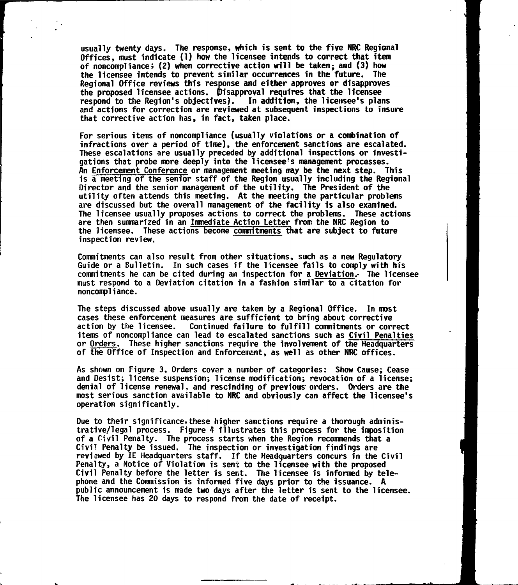**usually twenty days. The response, which is sent to the five NRC Regional Offices, must indicate (T) how the licensee intends to correct that item of noncompliance; (2) when corrective action will be taken; and (3) how the licensee intends to prevent similar occurrences in the future. The Regional Office reviews this response and either approves or disapproves the proposed licensee actions, disapproval requires that the licensee respond to the Region's objectives}. In addition, the licensee's plans and actions for correction are reviewed at subsequent inspections to insure that corrective action has, in fact, taken place.**

**For serious items of noncompliance (usually violations or a combination of infractions over a period of time), the enforcement sanctions are escalated. These escalations are usually preceded by additional inspections or investigations that probe more deeply into the licensee's management processes. An Enforcement Conference or management meeting may be the next step. This is a meeting of the senior staff of the Region usually including the Regional Director and the senior management of the utility. The President of the utility often attends this meeting. At the meeting the particular problems are discussed but the overall management of the facility is also examined. The licensee usually proposes actions to correct the problems. These actions are then summarized in an Immediate Action Letter from the NRC Region to the licensee. These actions become commitments that are subject to future inspection review.**

**Commitments can also result from other situations, such as a new Regulatory Guide or a Bulletin. In such cases if the licensee fails to comply with his commitments he can be cited during an inspection for a Deviation.- The licensee must respond to a Deviation citation in a fashion similar to a citation for noncompliance.**

**The steps discussed above usually are taken by a Regional Office. In most cases these enforcement measures are sufficient to bring about corrective action by the licensee. Continued failure to fulfill commitments or correct items of noncompliance can lead to escalated sanctions such as Civil Penalties or Orders. These higher sanctions require the involvement of the Headquarters of the Office of Inspection and Enforcement, as well as other NRC offices.**

**As shown on Figure 3, Orders cover a number of categories: Show Cause; Cease and Desist; license suspension; license modification; revocation of a license; denial of license renewal, and rescinding of previous orders. Orders are the most serious sanction available to NRC and obviously can affect the licensee's operation significantly.**

Due to their significance, these higher sanctions require a thorough adminis**trative/legal process. Figure 4 illustrates this process for the imposition of a Civil Penalty. The process starts when the Region recommends that a Civil Penalty be issued. The inspection or investigation findings are reviewed by IE Headquarters staff. If the Headquarters concurs in the Civil Penalty, a Notice of Violation is sent to the licensee with the proposed Civil Penalty before the letter is sent. The licensee is informed by telephone and the Commission is informed five days prior to the issuance. A public announcement is made two days after the letter 1s sent to the licensee. The licensee has 20 days to respond from the date of receipt.**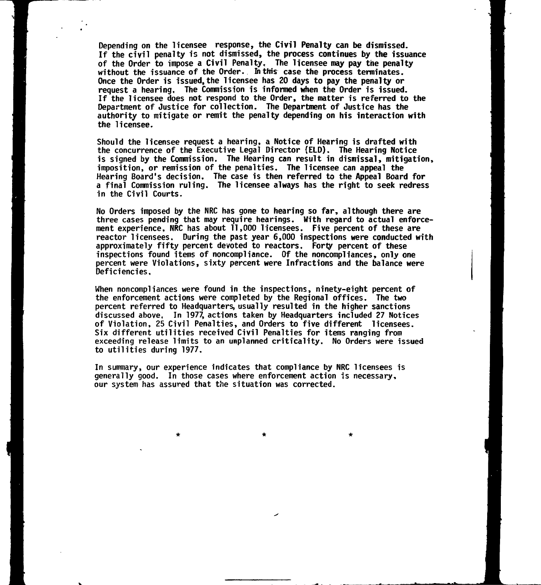**Depending on the licensee response, the Civil Penalty can be dismissed. If the civil penalty is not dismissed, the process continues by the issuance of the Order to impose a Civil Penalty, The licensee may pay the penalty without the issuance of the Order. In this case the process terminates. Once the Order is issued,the licensee has 20 days to pay the penalty or request a hearing. The Commission is informed when the Order is issued. If the licensee does not respond to the Order, the matter is referred to the Department of Justice for collection. The Department of Justice has the authority to mitigate or remit the penalty depending on his interaction with the licensee.**

**Should the licensee request a hearing, a Notice of Hearing is drafted with the concurrence of the Executive Legal Director (ELD). The Hearing Notice is signed by the Commission. The Hearing can result in dismissal, mitigation, imposition, or remission of the penalties. The licensee can appeal the Hearing Board's decision. The case is then referred to the Appeal Board for a final Commission ruling. The licensee always has the right to seek redress in the Civil Courts.**

**No Orders imposed by the NRC has gone to hearing so far, although there are three cases pending that may require hearings. With regard to actual enforcement experience, NRC has about 11,000 licensees. Five percent of these are reactor licensees. During the past year 6,000 inspections were conducted with approximately fifty percent devoted to reactors. Forty percent of these inspections found items of noncompliance. Of the noncompliances, only one percent were Violations, sixty percent were Infractions and the balance were Deficiencies,**

**When noncompliances were found in the inspections, ninety-eight percent of the enforcement actions were completed by the Regional offices. The two percent referred to Headquarters, usually resulted in the higher sanctions discussed above, In 1977, actions taken by Headquarters included 27 Notices of Violation, 25 Civil Penalties, and Orders to five different licensees. Six different utilities received Civil Penalties for items ranging from exceeding release limits to an unplanned criticality. No Orders were issued to utilities during 1977.**

**In summary, our experience indicates that compliance by NRC licensees is generally good. In those cases where enforcement action is necessary, our system has assured that the situation was corrected.**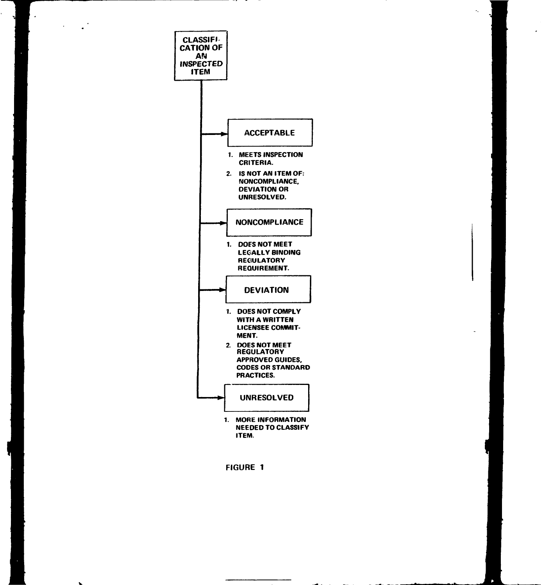

 $\mathcal{L}_1$ 

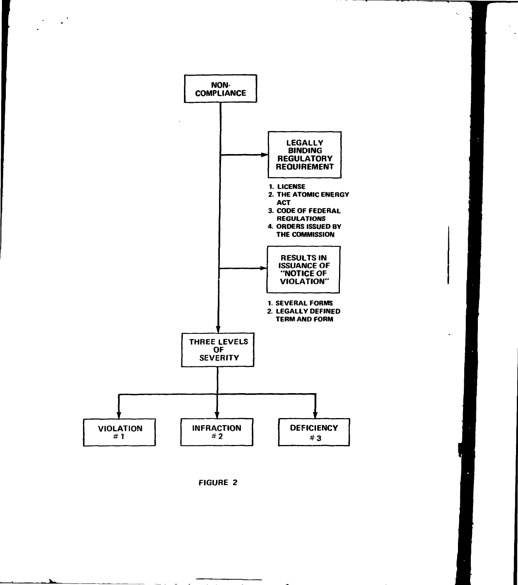

 $\bullet$ 

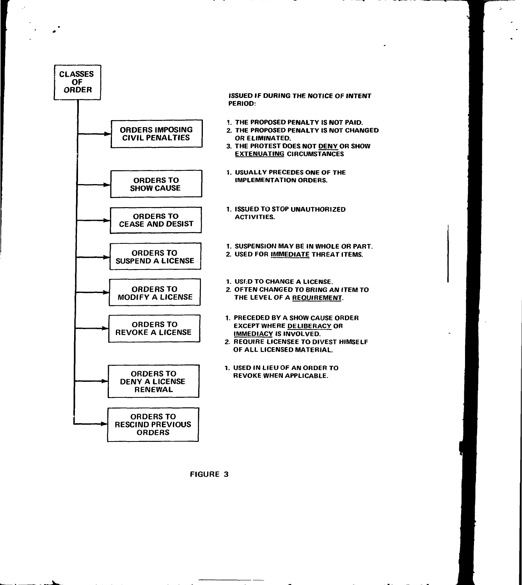